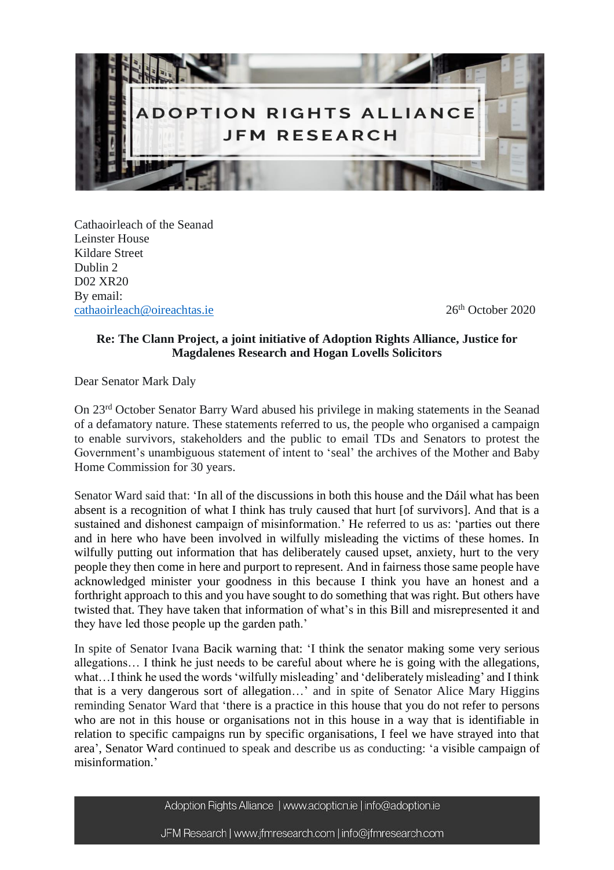

Cathaoirleach of the Seanad Leinster House Kildare Street Dublin 2 D02 XR20 By email: [cathaoirleach@oireachtas.ie](mailto:cathaoirleach@oireachtas.ie) 26<sup>th</sup> October 2020

## **Re: The Clann Project, a joint initiative of Adoption Rights Alliance, Justice for Magdalenes Research and Hogan Lovells Solicitors**

Dear Senator Mark Daly

On 23rd October Senator Barry Ward abused his privilege in making statements in the Seanad of a defamatory nature. These statements referred to us, the people who organised a campaign to enable survivors, stakeholders and the public to email TDs and Senators to protest the Government's unambiguous statement of intent to 'seal' the archives of the Mother and Baby Home Commission for 30 years.

Senator Ward said that: 'In all of the discussions in both this house and the Dáil what has been absent is a recognition of what I think has truly caused that hurt [of survivors]. And that is a sustained and dishonest campaign of misinformation.' He referred to us as: 'parties out there and in here who have been involved in wilfully misleading the victims of these homes. In wilfully putting out information that has deliberately caused upset, anxiety, hurt to the very people they then come in here and purport to represent. And in fairness those same people have acknowledged minister your goodness in this because I think you have an honest and a forthright approach to this and you have sought to do something that was right. But others have twisted that. They have taken that information of what's in this Bill and misrepresented it and they have led those people up the garden path.'

In spite of Senator Ivana Bacik warning that: 'I think the senator making some very serious allegations… I think he just needs to be careful about where he is going with the allegations, what…I think he used the words 'wilfully misleading' and 'deliberately misleading' and I think that is a very dangerous sort of allegation…' and in spite of Senator Alice Mary Higgins reminding Senator Ward that 'there is a practice in this house that you do not refer to persons who are not in this house or organisations not in this house in a way that is identifiable in relation to specific campaigns run by specific organisations, I feel we have strayed into that area', Senator Ward continued to speak and describe us as conducting: 'a visible campaign of misinformation.'

Adoption Rights Alliance | www.adoption.ie | info@adoption.ie

JFM Research | www.jfmresearch.com | info@jfmresearch.com